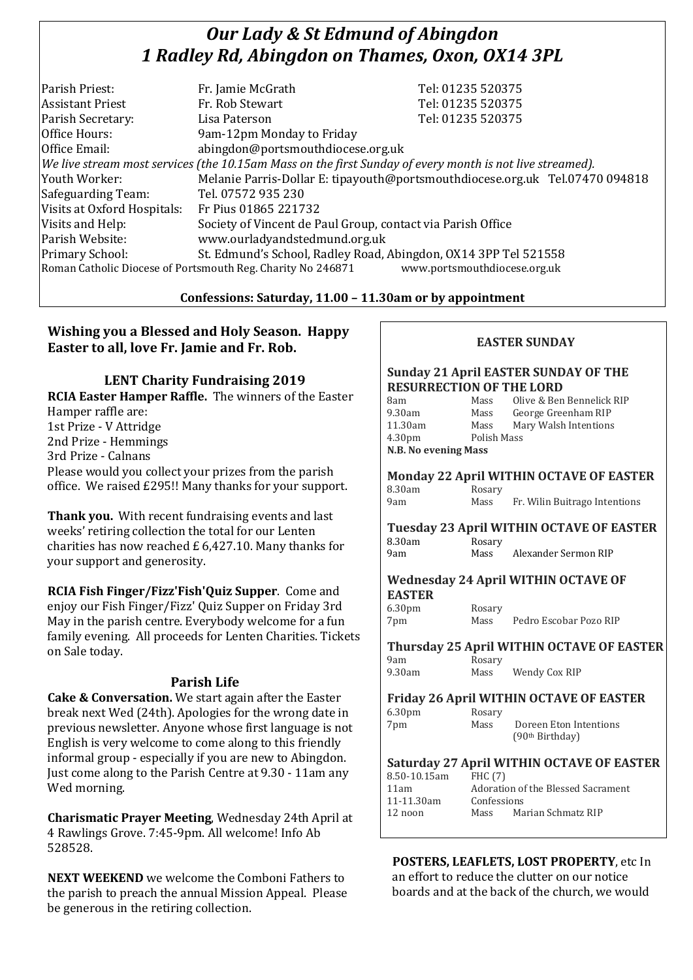# *Our Lady & St Edmund of Abingdon 1 Radley Rd, Abingdon on Thames, Oxon, OX14 3PL*

| Parish Priest:              | Fr. Jamie McGrath                                                                                        | Tel: 01235 520375                                                            |  |
|-----------------------------|----------------------------------------------------------------------------------------------------------|------------------------------------------------------------------------------|--|
| <b>Assistant Priest</b>     | Fr. Rob Stewart                                                                                          | Tel: 01235 520375                                                            |  |
| Parish Secretary:           | Lisa Paterson                                                                                            | Tel: 01235 520375                                                            |  |
| Office Hours:               | 9am-12pm Monday to Friday                                                                                |                                                                              |  |
| Office Email:               | abingdon@portsmouthdiocese.org.uk                                                                        |                                                                              |  |
|                             | We live stream most services (the 10.15am Mass on the first Sunday of every month is not live streamed). |                                                                              |  |
| Youth Worker:               |                                                                                                          | Melanie Parris-Dollar E: tipayouth@portsmouthdiocese.org.uk Tel.07470 094818 |  |
| Safeguarding Team:          | Tel. 07572 935 230                                                                                       |                                                                              |  |
| Visits at Oxford Hospitals: | Fr Pius 01865 221732                                                                                     |                                                                              |  |
| Visits and Help:            | Society of Vincent de Paul Group, contact via Parish Office                                              |                                                                              |  |
| Parish Website:             | www.ourladyandstedmund.org.uk                                                                            |                                                                              |  |
| Primary School:             | St. Edmund's School, Radley Road, Abingdon, OX14 3PP Tel 521558                                          |                                                                              |  |
|                             | Roman Catholic Diocese of Portsmouth Reg. Charity No 246871                                              | www.portsmouthdiocese.org.uk                                                 |  |

# **Confessions: Saturday, 11.00 – 11.30am or by appointment**

# **Wishing you a Blessed and Holy Season. Happy Easter to all, love Fr. Jamie and Fr. Rob.**

**LENT Charity Fundraising 2019 RCIA Easter Hamper Raffle.** The winners of the Easter Hamper raffle are: 1st Prize - V Attridge 2nd Prize - Hemmings 3rd Prize - Calnans Please would you collect your prizes from the parish office. We raised £295!! Many thanks for your support.

**Thank you.** With recent fundraising events and last weeks' retiring collection the total for our Lenten charities has now reached £ 6,427.10. Many thanks for your support and generosity.

**RCIA Fish Finger/Fizz'Fish'Quiz Supper**. Come and enjoy our Fish Finger/Fizz' Quiz Supper on Friday 3rd May in the parish centre. Everybody welcome for a fun family evening. All proceeds for Lenten Charities. Tickets on Sale today.

# **Parish Life**

**Cake & Conversation.** We start again after the Easter break next Wed (24th). Apologies for the wrong date in previous newsletter. Anyone whose first language is not English is very welcome to come along to this friendly informal group - especially if you are new to Abingdon. Just come along to the Parish Centre at 9.30 - 11am any Wed morning.

**Charismatic Prayer Meeting**, Wednesday 24th April at 4 Rawlings Grove. 7:45-9pm. All welcome! Info Ab 528528.

**NEXT WEEKEND** we welcome the Comboni Fathers to the parish to preach the annual Mission Appeal. Please be generous in the retiring collection.

#### **EASTER SUNDAY**

#### **Sunday 21 April EASTER SUNDAY OF THE RESURRECTION OF THE LORD**

| 8am                         | Mass        | Olive & Ben Bennelick RIP |
|-----------------------------|-------------|---------------------------|
| 9.30am                      | Mass        | George Greenham RIP       |
| 11.30am                     | Mass        | Mary Walsh Intentions     |
| 4.30 <sub>pm</sub>          | Polish Mass |                           |
| <b>N.B. No evening Mass</b> |             |                           |
|                             |             |                           |

**Monday 22 April WITHIN OCTAVE OF EASTER** 8.30am Rosary

| 9am | Mass | Fr. Wilin Buitrago Intentions |
|-----|------|-------------------------------|
|     |      |                               |

|        |        | <b>Tuesday 23 April WITHIN OCTAVE OF EASTER</b> |
|--------|--------|-------------------------------------------------|
| 8.30am | Rosary |                                                 |
| 9am    | Mass   | Alexander Sermon RIP                            |

#### **Wednesday 24 April WITHIN OCTAVE OF EASTER**

| 6.30 <sub>pm</sub> | Rosary |                        |  |
|--------------------|--------|------------------------|--|
| 7pm                | Mass   | Pedro Escobar Pozo RIP |  |

# **Thursday 25 April WITHIN OCTAVE OF EASTER**

| 9am    | Rosary |               |
|--------|--------|---------------|
| 9.30am | Mass   | Wendy Cox RIP |

#### **Friday 26 April WITHIN OCTAVE OF EASTER**  $6.30 \text{nm}$  Rosamy

| 0.JUPHI | <b>NUSAL</b> V |                             |
|---------|----------------|-----------------------------|
| 7pm     | Mass           | Doreen Eton Intentions      |
|         |                | (90 <sup>th</sup> Birthday) |

# **Saturday 27 April WITHIN OCTAVE OF EASTER**

| 8.50-10.15am | <b>FHC</b> (7) |                                    |
|--------------|----------------|------------------------------------|
| 11am         |                | Adoration of the Blessed Sacrament |
| 11-11.30am   | Confessions    |                                    |
| 12 noon      | Mass           | Marian Schmatz RIP                 |
|              |                |                                    |

**POSTERS, LEAFLETS, LOST PROPERTY**, etc In an effort to reduce the clutter on our notice boards and at the back of the church, we would